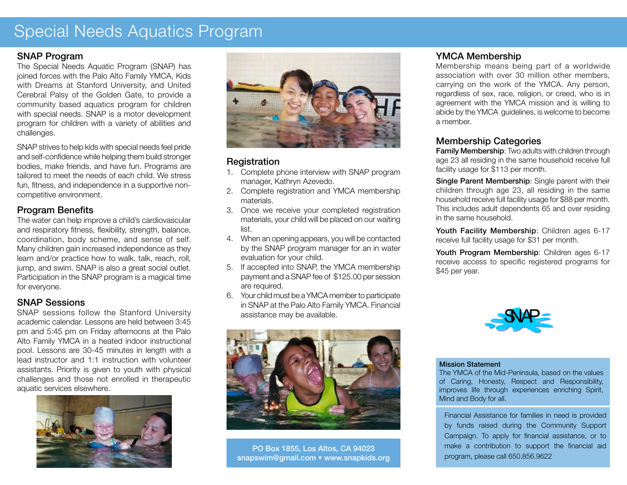# Special Needs Aquatics Program

#### SNAP Program

The Special Needs Aquatic Program (SNAP) has joined forces with the Palo Alto Family YMCA, Kids with Dreams at Stanford University, and United Cerebral Palsy of the Golden Gate, to provide a community based aquatics program for children with special needs. SNAP is a motor development program for children with a variety of abilities and challenges.

SNAP strives to help kids with special needs feel pride and self-confidence while helping them build stronger bodies, make friends, and have fun. Programs are tailored to meet the needs of each child. We stress fun, fitness, and independence in a supportive noncompetitive environment.

### Program Benefits

The water can help improve a child's cardiovascular and respiratory fitness, flexibility, strength, balance, coordination, body scheme, and sense of self. Many children gain increased independence as they learn and/or practice how to walk, talk, reach, roll, jump, and swim. SNAP is also a great social outlet. Participation in the SNAP program is a magical time for everyone.

#### SNAP Sessions

SNAP sessions follow the Stanford University academic calendar. Lessons are held between 3:45 pm and 5:45 pm on Friday afternoons at the Palo Alto Family YMCA in a heated indoor instructional pool. Lessons are 30-45 minutes in length with a lead instructor and 1:1 instruction with volunteer assistants. Priority is given to youth with physical challenges and those not enrolled in therapeutic aquatic services elsewhere.





#### **Registration**

- 1. Complete phone interview with SNAP program manager, Kathryn Azevedo.
- 2. Complete registration and YMCA membership materials.
- 3. Once we receive your completed registration materials, your child will be placed on our waiting list.
- When an opening appears, you will be contacted 4. by the SNAP program manager for an in water evaluation for your child.
- 5. If accepted into SNAP, the YMCA membership payment and a SNAP fee of \$125.00 per session are required.
- Your child must be a YMCA member to participate 6. in SNAP at the Palo Alto Family YMCA. Financial assistance may be available.



PO Box 1855, Los Altos, CA 94023 snapswim@gmail.com • www.snapkids.org

#### YMCA Membership

Membership means being part of a worldwide association with over 30 million other members, carrying on the work of the YMCA. Any person, regardless of sex, race, religion, or creed, who is in agreement with the YMCA mission and is willing to abide by the YMCA guidelines, is welcome to become a member.

### Membership Categories

**Family Membership:** Two adults with children through age 23 all residing in the same household receive full facility usage for \$113 per month.

Single Parent Membership: Single parent with their children through age 23, all residing in the same household receive full facility usage for \$88 per month. This includes adult dependents 65 and over residing in the same household.

Youth Facility Membership: Children ages 6-17 receive full facility usage for \$31 per month.

Youth Program Membership: Children ages 6-17 receive access to specific registered programs for \$45 per year.



#### Mission Statement

The YMCA of the Mid-Peninsula, based on the values of Caring, Honesty, Respect and Responsibility, improves life through experiences enriching Spirit, Mind and Body for all.

Financial Assistance for families in need is provided by funds raised during the Community Support Campaign. To apply for financial assistance, or to make a contribution to support the financial aid program, please call 650.856.9622